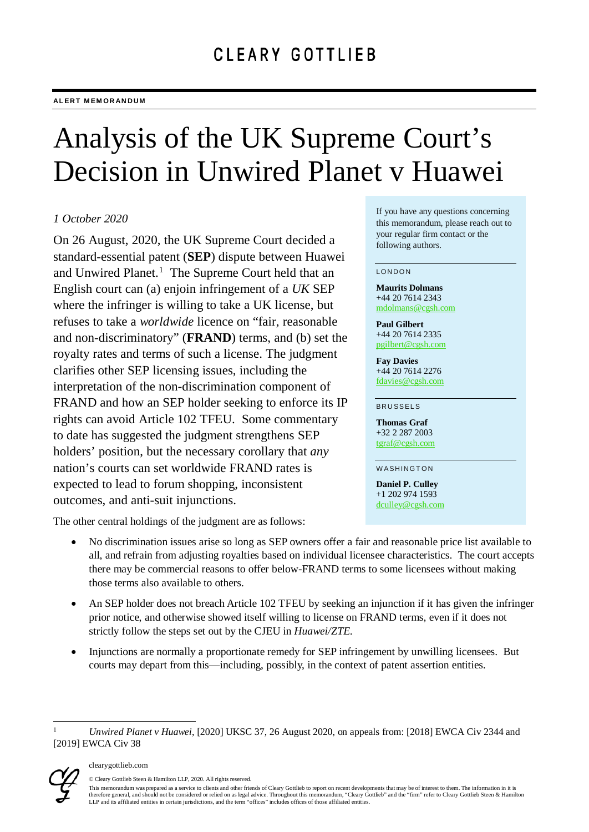# Analysis of the UK Supreme Court's Decision in Unwired Planet v Huawei

# *1 October 2020*

On 26 August, 2020, the UK Supreme Court decided a standard-essential patent (**SEP**) dispute between Huawei and Unwired Planet.<sup>[1](#page-0-0)</sup> The Supreme Court held that an English court can (a) enjoin infringement of a *UK* SEP where the infringer is willing to take a UK license, but refuses to take a *worldwide* licence on "fair, reasonable and non-discriminatory" (**FRAND**) terms, and (b) set the royalty rates and terms of such a license. The judgment clarifies other SEP licensing issues, including the interpretation of the non-discrimination component of FRAND and how an SEP holder seeking to enforce its IP rights can avoid Article 102 TFEU. Some commentary to date has suggested the judgment strengthens SEP holders' position, but the necessary corollary that *any* nation's courts can set worldwide FRAND rates is expected to lead to forum shopping, inconsistent outcomes, and anti-suit injunctions.

The other central holdings of the judgment are as follows:

- No discrimination issues arise so long as SEP owners offer a fair and reasonable price list available to all, and refrain from adjusting royalties based on individual licensee characteristics. The court accepts there may be commercial reasons to offer below-FRAND terms to some licensees without making those terms also available to others.
- An SEP holder does not breach Article 102 TFEU by seeking an injunction if it has given the infringer prior notice, and otherwise showed itself willing to license on FRAND terms, even if it does not strictly follow the steps set out by the CJEU in *Huawei/ZTE*.
- Injunctions are normally a proportionate remedy for SEP infringement by unwilling licensees. But courts may depart from this—including, possibly, in the context of patent assertion entities.

<span id="page-0-0"></span> <sup>1</sup> *Unwired Planet v Huawei*, [2020] UKSC 37, 26 August 2020, on appeals from: [2018] EWCA Civ 2344 and [2019] EWCA Civ 38



#### clearygottlieb.com

© Cleary Gottlieb Steen & Hamilton LLP, 2020. All rights reserved.

If you have any questions concerning this memorandum, please reach out to your regular firm contact or the following authors.

#### LONDON

**Maurits Dolmans** +44 20 7614 2343 [mdolmans@cgsh.com](mailto:mdolmans@cgsh.com)

**Paul Gilbert** +44 20 7614 2335 [pgilbert@cgsh.com](mailto:pgilbert@cgsh.com)

**Fay Davies** +44 20 7614 2276 [fdavies@cgsh.com](mailto:fdavies@cgsh.com)

#### BRUSSELS

**Thomas Graf** +32 2 287 2003 [tgraf@cgsh.com](mailto:tgraf@cgsh.com)

WASHINGTON

**Daniel P. Culley** +1 202 974 1593 [dculley@cgsh.com](mailto:dculley@cgsh.com)

This memorandum was prepared as a service to clients and other friends of Cleary Gottlieb to report on recent developments that may be of interest to them. The information in it is therefore general, and should not be considered or relied on as legal advice. Throughout this memorandum, "Cleary Gottlieb" and the "firm" refer to Cleary Gottlieb Steen & Hamilton LLP and its affiliated entities in certain jurisdictions, and the term "offices" includes offices of those affiliated entities.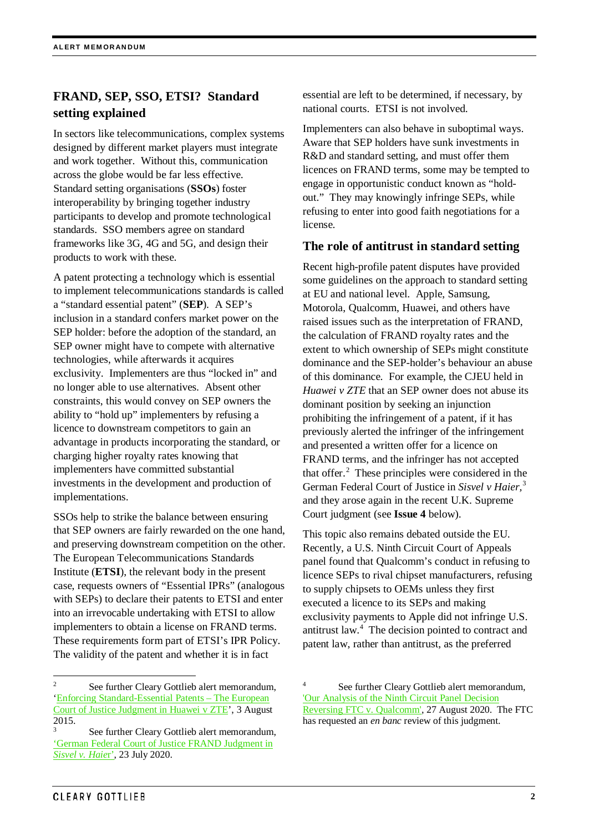# **FRAND, SEP, SSO, ETSI? Standard setting explained**

In sectors like telecommunications, complex systems designed by different market players must integrate and work together. Without this, communication across the globe would be far less effective. Standard setting organisations (**SSOs**) foster interoperability by bringing together industry participants to develop and promote technological standards. SSO members agree on standard frameworks like 3G, 4G and 5G, and design their products to work with these.

A patent protecting a technology which is essential to implement telecommunications standards is called a "standard essential patent" (**SEP**). A SEP's inclusion in a standard confers market power on the SEP holder: before the adoption of the standard, an SEP owner might have to compete with alternative technologies, while afterwards it acquires exclusivity. Implementers are thus "locked in" and no longer able to use alternatives. Absent other constraints, this would convey on SEP owners the ability to "hold up" implementers by refusing a licence to downstream competitors to gain an advantage in products incorporating the standard, or charging higher royalty rates knowing that implementers have committed substantial investments in the development and production of implementations.

SSOs help to strike the balance between ensuring that SEP owners are fairly rewarded on the one hand, and preserving downstream competition on the other. The European Telecommunications Standards Institute (**ETSI**), the relevant body in the present case, requests owners of "Essential IPRs" (analogous with SEPs) to declare their patents to ETSI and enter into an irrevocable undertaking with ETSI to allow implementers to obtain a license on FRAND terms. These requirements form part of ETSI's IPR Policy. The validity of the patent and whether it is in fact

essential are left to be determined, if necessary, by national courts. ETSI is not involved.

Implementers can also behave in suboptimal ways. Aware that SEP holders have sunk investments in R&D and standard setting, and must offer them licences on FRAND terms, some may be tempted to engage in opportunistic conduct known as "holdout." They may knowingly infringe SEPs, while refusing to enter into good faith negotiations for a license.

# **The role of antitrust in standard setting**

Recent high-profile patent disputes have provided some guidelines on the approach to standard setting at EU and national level. Apple, Samsung, Motorola, Qualcomm, Huawei, and others have raised issues such as the interpretation of FRAND, the calculation of FRAND royalty rates and the extent to which ownership of SEPs might constitute dominance and the SEP-holder's behaviour an abuse of this dominance. For example, the CJEU held in *Huawei v ZTE* that an SEP owner does not abuse its dominant position by seeking an injunction prohibiting the infringement of a patent, if it has previously alerted the infringer of the infringement and presented a written offer for a licence on FRAND terms, and the infringer has not accepted that offer. [2](#page-1-0) These principles were considered in the German Federal Court of Justice in *Sisvel v Haier,* [3](#page-1-1) and they arose again in the recent U.K. Supreme Court judgment (see **Issue 4** below).

This topic also remains debated outside the EU. Recently, a U.S. Ninth Circuit Court of Appeals panel found that Qualcomm's conduct in refusing to licence SEPs to rival chipset manufacturers, refusing to supply chipsets to OEMs unless they first executed a licence to its SEPs and making exclusivity payments to Apple did not infringe U.S. antitrust law. [4](#page-1-0) The decision pointed to contract and patent law, rather than antitrust, as the preferred

<span id="page-1-0"></span>See further Cleary Gottlieb alert memorandum, ['Enforcing Standard-Essential Patents –](https://www.clearygottlieb.com/%7E/media/organize-archive/cgsh/files/publication-pdfs/enforcing-standard-essential-patents-the-european-court-of-justices-judgment-in-huawei-v-zte.pdf) The European [Court of Justice Judgment in Huawei v ZTE'](https://www.clearygottlieb.com/%7E/media/organize-archive/cgsh/files/publication-pdfs/enforcing-standard-essential-patents-the-european-court-of-justices-judgment-in-huawei-v-zte.pdf), 3 August  $\frac{2015}{3}$ .

<span id="page-1-1"></span>See further Cleary Gottlieb alert memorandum, ['German Federal Court of Justice FRAND Judgment in](https://www.clearygottlieb.com/-/media/files/alert-memos-2020/german-federal-court-of-justice-frand-judgment-in-sisvel-v-haier.pdf)  *[Sisvel v. Haie](https://www.clearygottlieb.com/-/media/files/alert-memos-2020/german-federal-court-of-justice-frand-judgment-in-sisvel-v-haier.pdf)*r', 23 July 2020.

See further Cleary Gottlieb alert memorandum, ['Our Analysis of the Ninth Circuit Panel Decision](https://client.clearygottlieb.com/36/1827/uploads/2020-08-27-our-analysis-of-the-ninth-circuit-panel-decision-reversing-ftc-v.-qualcomm.pdf)  [Reversing FTC v. Qualcomm',](https://client.clearygottlieb.com/36/1827/uploads/2020-08-27-our-analysis-of-the-ninth-circuit-panel-decision-reversing-ftc-v.-qualcomm.pdf) 27 August 2020. The FTC has requested an *en banc* review of this judgment.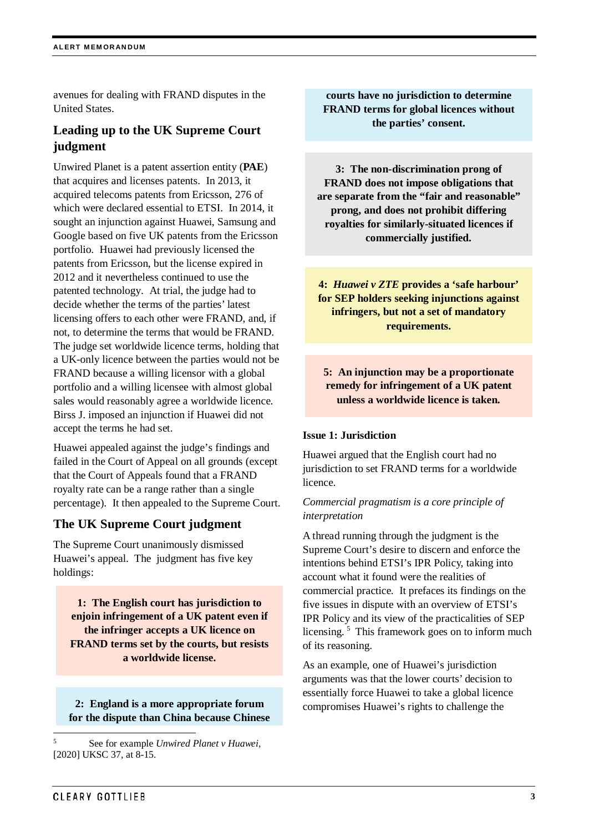avenues for dealing with FRAND disputes in the United States.

# **Leading up to the UK Supreme Court judgment**

Unwired Planet is a patent assertion entity (**PAE**) that acquires and licenses patents. In 2013, it acquired telecoms patents from Ericsson, 276 of which were declared essential to ETSI. In 2014, it sought an injunction against Huawei, Samsung and Google based on five UK patents from the Ericsson portfolio. Huawei had previously licensed the patents from Ericsson, but the license expired in 2012 and it nevertheless continued to use the patented technology. At trial, the judge had to decide whether the terms of the parties' latest licensing offers to each other were FRAND, and, if not, to determine the terms that would be FRAND. The judge set worldwide licence terms, holding that a UK-only licence between the parties would not be FRAND because a willing licensor with a global portfolio and a willing licensee with almost global sales would reasonably agree a worldwide licence. Birss J. imposed an injunction if Huawei did not accept the terms he had set.

Huawei appealed against the judge's findings and failed in the Court of Appeal on all grounds (except that the Court of Appeals found that a FRAND royalty rate can be a range rather than a single percentage). It then appealed to the Supreme Court.

# **The UK Supreme Court judgment**

The Supreme Court unanimously dismissed Huawei's appeal. The judgment has five key holdings:

**1: The English court has jurisdiction to enjoin infringement of a UK patent even if the infringer accepts a UK licence on FRAND terms set by the courts, but resists a worldwide license.**

**2: England is a more appropriate forum for the dispute than China because Chinese** 

**courts have no jurisdiction to determine FRAND terms for global licences without the parties' consent.**

**3: The non-discrimination prong of FRAND does not impose obligations that are separate from the "fair and reasonable" prong, and does not prohibit differing royalties for similarly-situated licences if commercially justified.**

**4:** *Huawei v ZTE* **provides a 'safe harbour' for SEP holders seeking injunctions against infringers, but not a set of mandatory requirements.** 

# **5: An injunction may be a proportionate remedy for infringement of a UK patent unless a worldwide licence is taken.**

#### **Issue 1: Jurisdiction**

Huawei argued that the English court had no jurisdiction to set FRAND terms for a worldwide licence.

## *Commercial pragmatism is a core principle of interpretation*

A thread running through the judgment is the Supreme Court's desire to discern and enforce the intentions behind ETSI's IPR Policy, taking into account what it found were the realities of commercial practice. It prefaces its findings on the five issues in dispute with an overview of ETSI's IPR Policy and its view of the practicalities of SEP licensing.<sup>[5](#page-2-0)</sup> This framework goes on to inform much of its reasoning.

As an example, one of Huawei's jurisdiction arguments was that the lower courts' decision to essentially force Huawei to take a global licence compromises Huawei's rights to challenge the

<span id="page-2-0"></span> <sup>5</sup> See for example *Unwired Planet v Huawei*, [2020] UKSC 37, at 8-15.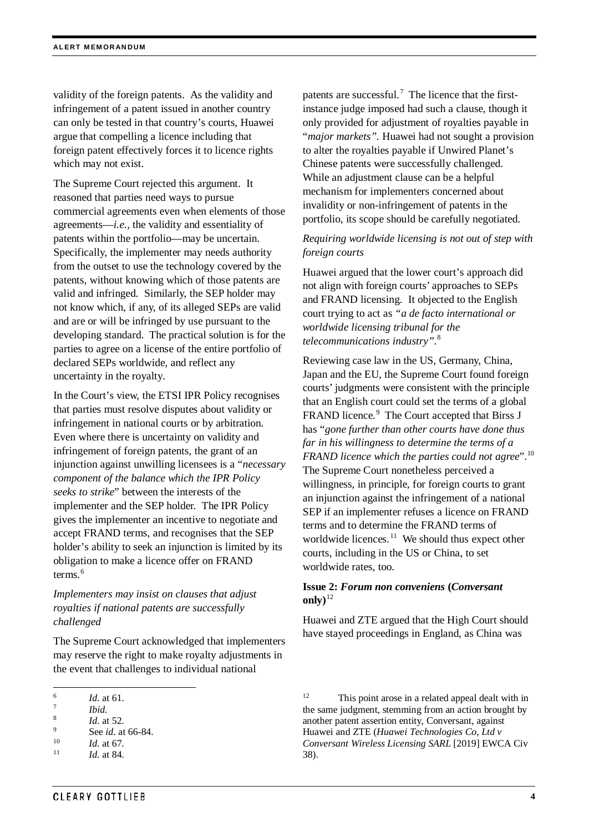validity of the foreign patents. As the validity and infringement of a patent issued in another country can only be tested in that country's courts, Huawei argue that compelling a licence including that foreign patent effectively forces it to licence rights which may not exist.

The Supreme Court rejected this argument. It reasoned that parties need ways to pursue commercial agreements even when elements of those agreements—*i.e.,* the validity and essentiality of patents within the portfolio—may be uncertain. Specifically, the implementer may needs authority from the outset to use the technology covered by the patents, without knowing which of those patents are valid and infringed. Similarly, the SEP holder may not know which, if any, of its alleged SEPs are valid and are or will be infringed by use pursuant to the developing standard. The practical solution is for the parties to agree on a license of the entire portfolio of declared SEPs worldwide, and reflect any uncertainty in the royalty.

In the Court's view, the ETSI IPR Policy recognises that parties must resolve disputes about validity or infringement in national courts or by arbitration. Even where there is uncertainty on validity and infringement of foreign patents, the grant of an injunction against unwilling licensees is a "*necessary component of the balance which the IPR Policy seeks to strike*" between the interests of the implementer and the SEP holder. The IPR Policy gives the implementer an incentive to negotiate and accept FRAND terms, and recognises that the SEP holder's ability to seek an injunction is limited by its obligation to make a licence offer on FRAND terms $6$ 

*Implementers may insist on clauses that adjust royalties if national patents are successfully challenged*

The Supreme Court acknowledged that implementers may reserve the right to make royalty adjustments in the event that challenges to individual national

patents are successful.<sup>[7](#page-3-1)</sup> The licence that the firstinstance judge imposed had such a clause, though it only provided for adjustment of royalties payable in "*major markets".* Huawei had not sought a provision to alter the royalties payable if Unwired Planet's Chinese patents were successfully challenged. While an adjustment clause can be a helpful mechanism for implementers concerned about invalidity or non-infringement of patents in the portfolio, its scope should be carefully negotiated.

# *Requiring worldwide licensing is not out of step with foreign courts*

Huawei argued that the lower court's approach did not align with foreign courts' approaches to SEPs and FRAND licensing. It objected to the English court trying to act as *"a de facto international or worldwide licensing tribunal for the telecommunications industry"*. [8](#page-3-2)

Reviewing case law in the US, Germany, China, Japan and the EU, the Supreme Court found foreign courts' judgments were consistent with the principle that an English court could set the terms of a global FRAND licence.<sup>[9](#page-3-3)</sup> The Court accepted that Birss J has "*gone further than other courts have done thus far in his willingness to determine the terms of a FRAND licence which the parties could not agree*". [10](#page-3-4) The Supreme Court nonetheless perceived a willingness, in principle, for foreign courts to grant an injunction against the infringement of a national SEP if an implementer refuses a licence on FRAND terms and to determine the FRAND terms of worldwide licences. $11$  We should thus expect other courts, including in the US or China, to set worldwide rates, too.

### **Issue 2:** *Forum non conveniens* **(***Conversant* only) $^{12}$  $^{12}$  $^{12}$

Huawei and ZTE argued that the High Court should have stayed proceedings in England, as China was

<span id="page-3-0"></span><sup>6</sup> *Id.* at 61. 7 *Ibid.* 

<span id="page-3-3"></span><span id="page-3-2"></span><span id="page-3-1"></span> $\frac{8}{9}$  *Id.* at 52.

<sup>&</sup>lt;sup>9</sup> See *id*. at 66-84.

 $\frac{10}{11}$  *Id.* at 67.

<span id="page-3-5"></span><span id="page-3-4"></span>*Id.* at 84.

<sup>&</sup>lt;sup>12</sup> This point arose in a related appeal dealt with in the same judgment, stemming from an action brought by another patent assertion entity, Conversant, against Huawei and ZTE (*Huawei Technologies Co, Ltd v Conversant Wireless Licensing SARL* [2019] EWCA Civ 38).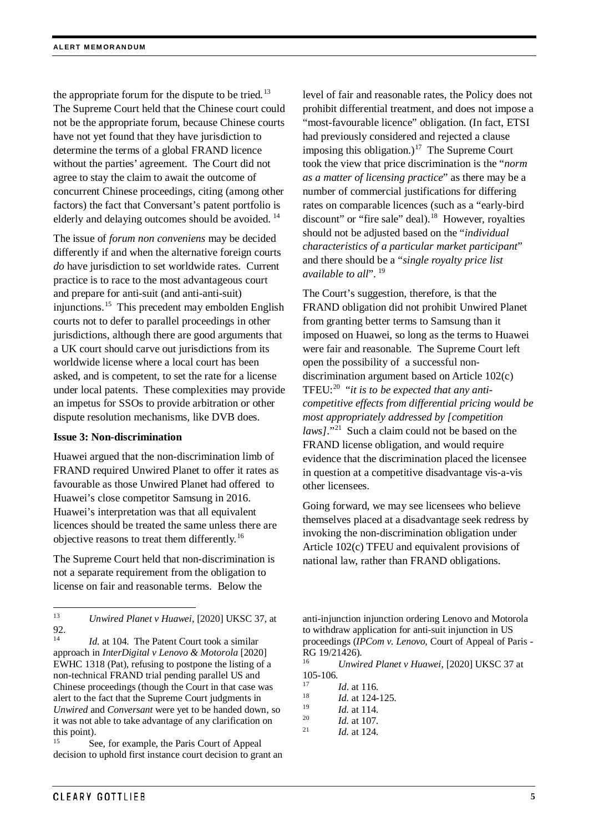the appropriate forum for the dispute to be tried.<sup>[13](#page-4-0)</sup> The Supreme Court held that the Chinese court could not be the appropriate forum, because Chinese courts have not yet found that they have jurisdiction to determine the terms of a global FRAND licence without the parties' agreement. The Court did not agree to stay the claim to await the outcome of concurrent Chinese proceedings, citing (among other factors) the fact that Conversant's patent portfolio is elderly and delaying outcomes should be avoided.<sup>[14](#page-4-1)</sup>

The issue of *forum non conveniens* may be decided differently if and when the alternative foreign courts *do* have jurisdiction to set worldwide rates. Current practice is to race to the most advantageous court and prepare for anti-suit (and anti-anti-suit) injunctions.[15](#page-4-2) This precedent may embolden English courts not to defer to parallel proceedings in other jurisdictions, although there are good arguments that a UK court should carve out jurisdictions from its worldwide license where a local court has been asked, and is competent, to set the rate for a license under local patents. These complexities may provide an impetus for SSOs to provide arbitration or other dispute resolution mechanisms, like DVB does.

#### **Issue 3: Non-discrimination**

Huawei argued that the non-discrimination limb of FRAND required Unwired Planet to offer it rates as favourable as those Unwired Planet had offered to Huawei's close competitor Samsung in 2016. Huawei's interpretation was that all equivalent licences should be treated the same unless there are objective reasons to treat them differently.[16](#page-4-3)

The Supreme Court held that non-discrimination is not a separate requirement from the obligation to license on fair and reasonable terms. Below the

<span id="page-4-4"></span><span id="page-4-3"></span><span id="page-4-1"></span>Id. at 104. The Patent Court took a similar approach in *InterDigital v Lenovo & Motorola* [2020] EWHC 1318 (Pat), refusing to postpone the listing of a non-technical FRAND trial pending parallel US and Chinese proceedings (though the Court in that case was alert to the fact that the Supreme Court judgments in *Unwired* and *Conversant* were yet to be handed down, so it was not able to take advantage of any clarification on this point).

<span id="page-4-8"></span><span id="page-4-7"></span><span id="page-4-6"></span><span id="page-4-5"></span><span id="page-4-2"></span>See, for example, the Paris Court of Appeal decision to uphold first instance court decision to grant an level of fair and reasonable rates, the Policy does not prohibit differential treatment, and does not impose a "most-favourable licence" obligation. (In fact, ETSI had previously considered and rejected a clause imposing this obligation.) [17](#page-4-4) The Supreme Court took the view that price discrimination is the "*norm as a matter of licensing practice*" as there may be a number of commercial justifications for differing rates on comparable licences (such as a "early-bird discount" or "fire sale" deal).<sup>18</sup> However, royalties should not be adjusted based on the "*individual characteristics of a particular market participant*" and there should be a "*single royalty price list available to all*". [19](#page-4-6) 

The Court's suggestion, therefore, is that the FRAND obligation did not prohibit Unwired Planet from granting better terms to Samsung than it imposed on Huawei, so long as the terms to Huawei were fair and reasonable. The Supreme Court left open the possibility of a successful nondiscrimination argument based on Article 102(c) TFEU: [20](#page-4-7) "*it is to be expected that any anticompetitive effects from differential pricing would be most appropriately addressed by [competition laws*]."<sup>21</sup> Such a claim could not be based on the FRAND license obligation, and would require evidence that the discrimination placed the licensee in question at a competitive disadvantage vis-a-vis other licensees.

Going forward, we may see licensees who believe themselves placed at a disadvantage seek redress by invoking the non-discrimination obligation under Article 102(c) TFEU and equivalent provisions of national law, rather than FRAND obligations.

anti-injunction injunction ordering Lenovo and Motorola to withdraw application for anti-suit injunction in US proceedings (*IPCom v. Lenovo*, Court of Appeal of Paris - RG 19/21426).

<sup>16</sup> *Unwired Planet v Huawei*, [2020] UKSC 37 at  $105-106.$ 

- $\frac{17}{18}$  *Id.* at 116.
- $\frac{18}{19}$  *Id.* at 124-125.
- $\frac{19}{20}$  *Id.* at 114.
- $\frac{20}{21}$  *Id.* at 107.
- *Id.* at 124.

<span id="page-4-0"></span> <sup>13</sup> *Unwired Planet v Huawei*, [2020] UKSC 37, at 92.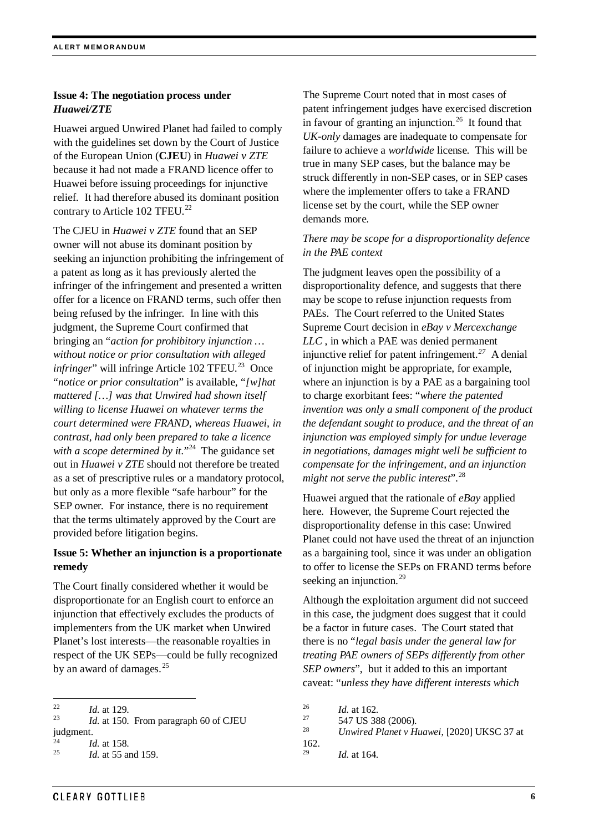## **Issue 4: The negotiation process under**  *Huawei/ZTE*

Huawei argued Unwired Planet had failed to comply with the guidelines set down by the Court of Justice of the European Union (**CJEU**) in *Huawei v ZTE* because it had not made a FRAND licence offer to Huawei before issuing proceedings for injunctive relief*.* It had therefore abused its dominant position contrary to Article 102 TFEU.<sup>[22](#page-5-0)</sup>

The CJEU in *Huawei v ZTE* found that an SEP owner will not abuse its dominant position by seeking an injunction prohibiting the infringement of a patent as long as it has previously alerted the infringer of the infringement and presented a written offer for a licence on FRAND terms, such offer then being refused by the infringer. In line with this judgment, the Supreme Court confirmed that bringing an "*action for prohibitory injunction … without notice or prior consultation with alleged infringer*" will infringe Article 102 TFEU. [23](#page-5-1) Once "*notice or prior consultation*" is available, "*[w]hat mattered […] was that Unwired had shown itself willing to license Huawei on whatever terms the court determined were FRAND, whereas Huawei, in contrast, had only been prepared to take a licence*  with a scope determined by it."<sup>[24](#page-5-2)</sup> The guidance set out in *Huawei v ZTE* should not therefore be treated as a set of prescriptive rules or a mandatory protocol, but only as a more flexible "safe harbour" for the SEP owner. For instance, there is no requirement that the terms ultimately approved by the Court are provided before litigation begins.

# **Issue 5: Whether an injunction is a proportionate remedy**

The Court finally considered whether it would be disproportionate for an English court to enforce an injunction that effectively excludes the products of implementers from the UK market when Unwired Planet's lost interests—the reasonable royalties in respect of the UK SEPs—could be fully recognized by an award of damages. $^{25}$  $^{25}$  $^{25}$ 

The Supreme Court noted that in most cases of patent infringement judges have exercised discretion in favour of granting an injunction.<sup>[26](#page-5-0)</sup> It found that *UK-only* damages are inadequate to compensate for failure to achieve a *worldwide* license. This will be true in many SEP cases, but the balance may be struck differently in non-SEP cases, or in SEP cases where the implementer offers to take a FRAND license set by the court, while the SEP owner demands more.

## *There may be scope for a disproportionality defence in the PAE context*

The judgment leaves open the possibility of a disproportionality defence, and suggests that there may be scope to refuse injunction requests from PAEs. The Court referred to the United States Supreme Court decision in *eBay v Mercexchange LLC* , in which a PAE was denied permanent injunctive relief for patent infringement.*[27](#page-5-1)* A denial of injunction might be appropriate, for example, where an injunction is by a PAE as a bargaining tool to charge exorbitant fees: "*where the patented invention was only a small component of the product the defendant sought to produce, and the threat of an injunction was employed simply for undue leverage in negotiations, damages might well be sufficient to compensate for the infringement, and an injunction might not serve the public interest*".[28](#page-5-4) 

Huawei argued that the rationale of *eBay* applied here. However, the Supreme Court rejected the disproportionality defense in this case: Unwired Planet could not have used the threat of an injunction as a bargaining tool, since it was under an obligation to offer to license the SEPs on FRAND terms before seeking an injunction.<sup>[29](#page-5-3)</sup>

Although the exploitation argument did not succeed in this case, the judgment does suggest that it could be a factor in future cases. The Court stated that there is no "*legal basis under the general law for treating PAE owners of SEPs differently from other SEP owners*", but it added to this an important caveat: "*unless they have different interests which* 

<span id="page-5-0"></span> $\frac{22}{23}$  *Id.* at 129.

<span id="page-5-4"></span><span id="page-5-1"></span>*Id.* at 150. From paragraph 60 of CJEU judgment.

<span id="page-5-2"></span> $\frac{24}{25}$  *Id.* at 158.

<span id="page-5-3"></span>*Id.* at 55 and 159.

 $\frac{26}{27}$  *Id.* at 162.

<sup>&</sup>lt;sup>27</sup> 547 US 388 (2006).<br><sup>28</sup> *Unvined Planety H* 

<sup>28</sup> *Unwired Planet v Huawei*, [2020] UKSC 37 at

 $\frac{162}{29}$ . *Id.* at 164.